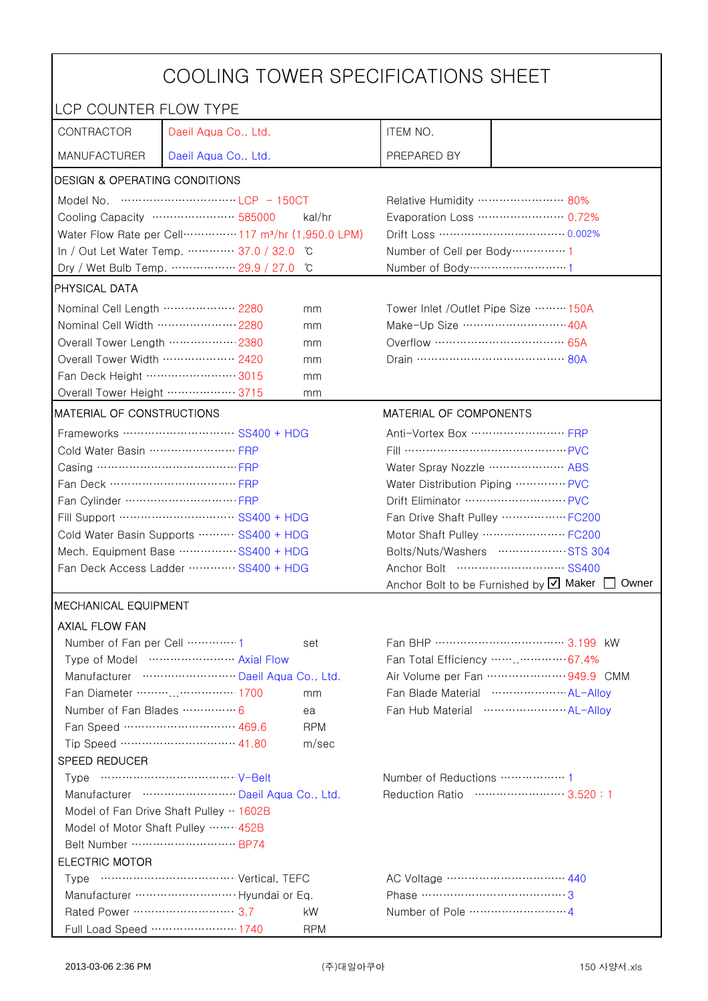| COOLING TOWER SPECIFICATIONS SHEET                 |                                                                               |                                                      |                        |  |
|----------------------------------------------------|-------------------------------------------------------------------------------|------------------------------------------------------|------------------------|--|
| LCP COUNTER FLOW TYPE                              |                                                                               |                                                      |                        |  |
| CONTRACTOR                                         | Daeil Aqua Co., Ltd.                                                          | ITEM NO.                                             |                        |  |
| <b>MANUFACTURER</b>                                | Daeil Aqua Co., Ltd.                                                          | PREPARED BY                                          |                        |  |
| <b>DESIGN &amp; OPERATING CONDITIONS</b>           |                                                                               |                                                      |                        |  |
|                                                    |                                                                               | Relative Humidity …………………… 80%                       |                        |  |
|                                                    | Cooling Capacity …………………… 585000<br>kal/hr                                    | Evaporation Loss ………………… 0.72%                       |                        |  |
|                                                    | Water Flow Rate per Cell ··············· 117 m <sup>3</sup> /hr (1,950.0 LPM) |                                                      |                        |  |
|                                                    | In / Out Let Water Temp.  37.0 / 32.0<br>C °                                  | Number of Cell per Body ··············· 1            |                        |  |
|                                                    | Dry / Wet Bulb Temp.  29.9 / 27.0<br>°C                                       | Number of Body ··································1   |                        |  |
| <b>PHYSICAL DATA</b>                               |                                                                               |                                                      |                        |  |
| Nominal Cell Length  2280                          | mm                                                                            | Tower Inlet /Outlet Pipe Size  150A                  |                        |  |
| Nominal Cell Width  2280                           | mm                                                                            | Make-Up Size ······························ 40A      |                        |  |
| Overall Tower Length ……………… 2380                   | mm                                                                            | Overflow …………………………… 65A                             |                        |  |
| Overall Tower Width  2420                          | mm                                                                            |                                                      |                        |  |
| Fan Deck Height …………………… 3015                      | mm                                                                            |                                                      |                        |  |
| Overall Tower Height ……………… 3715                   | mm                                                                            |                                                      |                        |  |
| MATERIAL OF CONSTRUCTIONS                          |                                                                               |                                                      | MATERIAL OF COMPONENTS |  |
|                                                    | Frameworks  SS400 + HDG                                                       | Anti-Vortex Box …………………… FRP                         |                        |  |
| Cold Water Basin  FRP                              |                                                                               | Fill …………………………………… PVC                              |                        |  |
| Casing …………………………………… FRP                          |                                                                               | Water Spray Nozzle ………………… ABS                       |                        |  |
| Fan Deck …………………………… FRP                           |                                                                               | Water Distribution Piping  PVC                       |                        |  |
|                                                    |                                                                               |                                                      |                        |  |
| Fill Support ………………………… SS400 + HDG                |                                                                               | Fan Drive Shaft Pulley  FC200                        |                        |  |
| Cold Water Basin Supports  SS400 + HDG             |                                                                               | Motor Shaft Pulley  FC200                            |                        |  |
| Mech. Equipment Base SS400 + HDG                   |                                                                               | Bolts/Nuts/Washers  STS 304                          |                        |  |
| Fan Deck Access Ladder ………… SS400 + HDG            |                                                                               | Anchor Bolt to be Furnished by Ø Maker [             |                        |  |
| <b>IMECHANICAL EQUIPMENT</b>                       |                                                                               |                                                      | Owner                  |  |
|                                                    |                                                                               |                                                      |                        |  |
| <b>AXIAL FLOW FAN</b><br>Number of Fan per Cell  1 |                                                                               | Fan BHP ……………………………… 3.199 kW                        |                        |  |
|                                                    | set<br>Type of Model  Axial Flow                                              | Fan Total Efficiency …… 67.4%                        |                        |  |
|                                                    | Manufacturer  Daeil Aqua Co., Ltd.                                            | Air Volume per Fan  949.9 CMM                        |                        |  |
|                                                    | Fan Diameter ……… …………… 1700<br>mm                                             | Fan Blade Material ······················ AL-Allov   |                        |  |
| Number of Fan Blades  6                            | ea                                                                            | Fan Hub Material ·························· AL-Allov |                        |  |
|                                                    | Fan Speed ………………………… 469.6<br><b>RPM</b>                                      |                                                      |                        |  |
|                                                    | Tip Speed ………………………… 41.80<br>m/sec                                           |                                                      |                        |  |
| <b>SPEED REDUCER</b>                               |                                                                               |                                                      |                        |  |
|                                                    |                                                                               | Number of Reductions  1                              |                        |  |
|                                                    | Manufacturer  Daeil Aqua Co., Ltd.                                            | Reduction Ratio …………………… 3.520:1                     |                        |  |
|                                                    | Model of Fan Drive Shaft Pulley  1602B                                        |                                                      |                        |  |
| Model of Motor Shaft Pulley  452B                  |                                                                               |                                                      |                        |  |
| Belt Number  BP74                                  |                                                                               |                                                      |                        |  |
| <b>ELECTRIC MOTOR</b>                              |                                                                               |                                                      |                        |  |
|                                                    |                                                                               |                                                      |                        |  |
|                                                    |                                                                               | Phase ……………………………………3                                |                        |  |
| Rated Power …………………………3.7                          | kW                                                                            |                                                      |                        |  |
|                                                    | Full Load Speed ………………… 1740<br><b>RPM</b>                                    |                                                      |                        |  |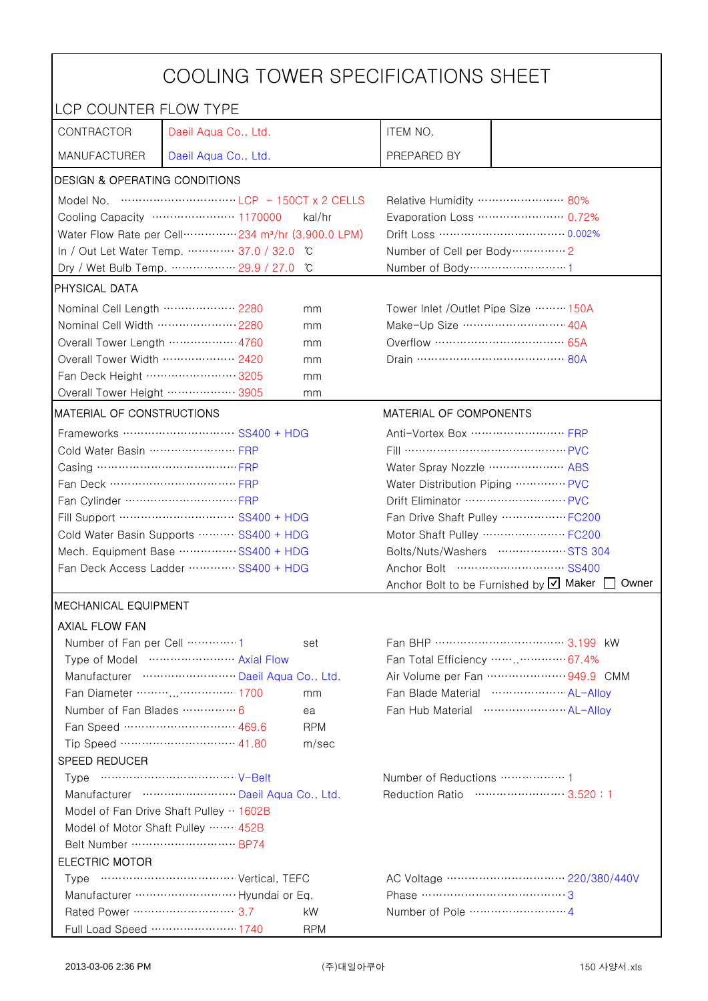| COOLING TOWER SPECIFICATIONS SHEET       |                                                                               |                                                 |                                                             |  |
|------------------------------------------|-------------------------------------------------------------------------------|-------------------------------------------------|-------------------------------------------------------------|--|
| LCP COUNTER FLOW TYPE                    |                                                                               |                                                 |                                                             |  |
| CONTRACTOR                               | Daeil Aqua Co., Ltd.                                                          | ITEM NO.                                        |                                                             |  |
| <b>MANUFACTURER</b>                      | Daeil Aqua Co., Ltd.                                                          | PREPARED BY                                     |                                                             |  |
| <b>DESIGN &amp; OPERATING CONDITIONS</b> |                                                                               |                                                 |                                                             |  |
|                                          |                                                                               | Relative Humidity …………………… 80%                  |                                                             |  |
|                                          | Cooling Capacity ………………… 1170000<br>kal/hr                                    | Evaporation Loss ………………… 0.72%                  |                                                             |  |
|                                          | Water Flow Rate per Cell ··············· 234 m <sup>3</sup> /hr (3,900.0 LPM) | Drift Loss …………………………… 0.002%                   |                                                             |  |
|                                          | In / Out Let Water Temp.  37.0 / 32.0 °C                                      |                                                 | Number of Cell per Body ··············· 2                   |  |
|                                          | Dry / Wet Bulb Temp.  29.9 / 27.0<br>°C                                       | Number of Body ·······························1 |                                                             |  |
| <b>PHYSICAL DATA</b>                     |                                                                               |                                                 |                                                             |  |
| Nominal Cell Length ……………… 2280          | mm                                                                            | Tower Inlet /Outlet Pipe Size  150A             |                                                             |  |
| Nominal Cell Width  2280                 | mm                                                                            | Make-Up Size ……………………… 40A                      |                                                             |  |
| Overall Tower Length ……………… 4760         | mm                                                                            | Overflow ……………………………… 65A                       |                                                             |  |
| Overall Tower Width  2420                | mm                                                                            |                                                 |                                                             |  |
| Fan Deck Height …………………… 3205            | mm                                                                            |                                                 |                                                             |  |
| Overall Tower Height  3905               | mm                                                                            |                                                 |                                                             |  |
| MATERIAL OF CONSTRUCTIONS                |                                                                               | MATERIAL OF COMPONENTS                          |                                                             |  |
|                                          | Frameworks ………………………… SS400 + HDG                                             | Anti-Vortex Box …………………… FRP                    |                                                             |  |
| Cold Water Basin  FRP                    |                                                                               |                                                 |                                                             |  |
| Casing …………………………………… FRP                |                                                                               |                                                 | Water Spray Nozzle  ABS                                     |  |
| Fan Deck …………………………… FRP                 |                                                                               |                                                 | Water Distribution Piping  PVC                              |  |
|                                          |                                                                               |                                                 | Drift Eliminator  PVC                                       |  |
| Fill Support ………………………… SS400 + HDG      |                                                                               |                                                 | Fan Drive Shaft Pulley  FC200                               |  |
| Cold Water Basin Supports  SS400 + HDG   |                                                                               |                                                 | Motor Shaft Pulley ·························· FC200         |  |
| Mech. Equipment Base SS400 + HDG         |                                                                               |                                                 | Bolts/Nuts/Washers  STS 304                                 |  |
| Fan Deck Access Ladder  SS400 + HDG      |                                                                               |                                                 | Anchor Bolt to be Furnished by $\boxtimes$ Maker [<br>Owner |  |
| <b>IMECHANICAL EQUIPMENT</b>             |                                                                               |                                                 |                                                             |  |
| <b>AXIAL FLOW FAN</b>                    |                                                                               |                                                 |                                                             |  |
| Number of Fan per Cell 1                 | set                                                                           | Fan BHP ……………………………… 3.199 kW                   |                                                             |  |
|                                          | Type of Model  Axial Flow                                                     | Fan Total Efficiency  67.4%                     |                                                             |  |
|                                          | Manufacturer  Daeil Aqua Co., Ltd.                                            | Air Volume per Fan  949.9 CMM                   |                                                             |  |
| Fan Diameter ………………… 1700<br>mm          |                                                                               |                                                 | Fan Blade Material ······················ AL-Allov          |  |
| Number of Fan Blades  6                  | ea                                                                            |                                                 |                                                             |  |
|                                          | Fan Speed ………………………… 469.6<br><b>RPM</b>                                      |                                                 |                                                             |  |
|                                          | Tip Speed ………………………… 41.80<br>m/sec                                           |                                                 |                                                             |  |
| SPEED REDUCER                            |                                                                               |                                                 |                                                             |  |
|                                          |                                                                               | Number of Reductions  1                         |                                                             |  |
| Manufacturer  Daeil Aqua Co., Ltd.       |                                                                               |                                                 | Reduction Ratio …………………… 3.520:1                            |  |
| Model of Fan Drive Shaft Pulley  1602B   |                                                                               |                                                 |                                                             |  |
| Model of Motor Shaft Pulley  452B        |                                                                               |                                                 |                                                             |  |
|                                          |                                                                               |                                                 |                                                             |  |
| <b>ELECTRIC MOTOR</b>                    |                                                                               |                                                 |                                                             |  |
|                                          |                                                                               |                                                 |                                                             |  |
|                                          |                                                                               | Phase …………………………………3                            |                                                             |  |
|                                          | kW                                                                            |                                                 |                                                             |  |
|                                          | Full Load Speed ………………… 1740<br><b>RPM</b>                                    |                                                 |                                                             |  |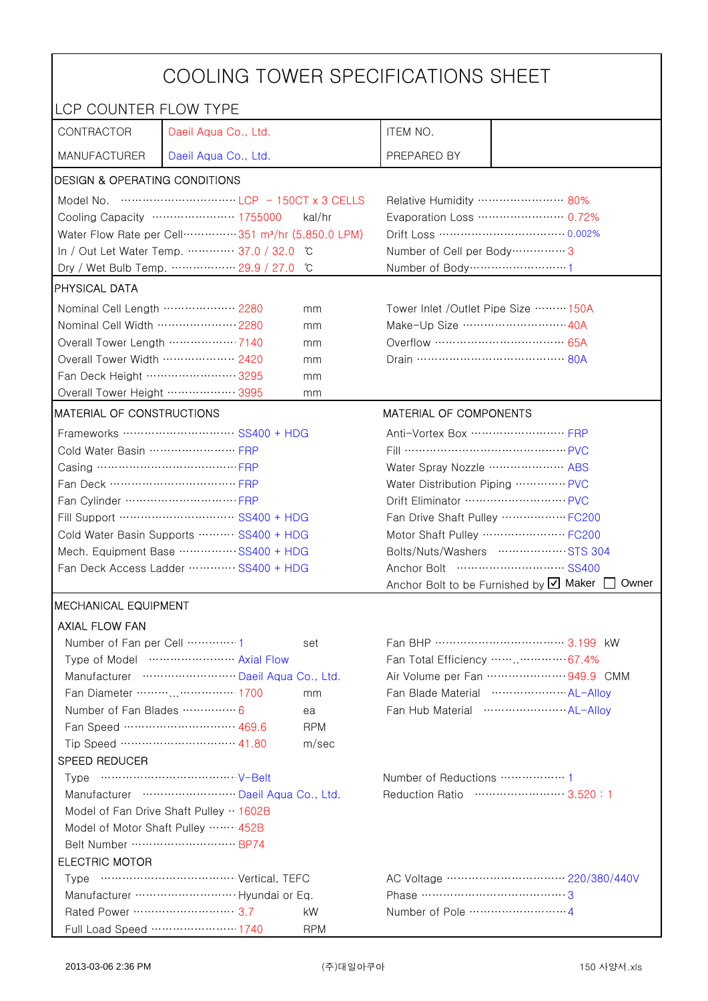| COOLING TOWER SPECIFICATIONS SHEET       |                                                                                                                                                                                                                                                                       |                                                             |                                                 |                                     |
|------------------------------------------|-----------------------------------------------------------------------------------------------------------------------------------------------------------------------------------------------------------------------------------------------------------------------|-------------------------------------------------------------|-------------------------------------------------|-------------------------------------|
| LCP COUNTER FLOW TYPE                    |                                                                                                                                                                                                                                                                       |                                                             |                                                 |                                     |
| CONTRACTOR                               | Daeil Aqua Co., Ltd.                                                                                                                                                                                                                                                  |                                                             | ITEM NO.                                        |                                     |
| <b>MANUFACTURER</b>                      | Daeil Aqua Co., Ltd.                                                                                                                                                                                                                                                  |                                                             | PREPARED BY                                     |                                     |
| <b>DESIGN &amp; OPERATING CONDITIONS</b> |                                                                                                                                                                                                                                                                       |                                                             |                                                 |                                     |
|                                          | Model No. $\cdots$ $\cdots$ $\cdots$ $\cdots$ $\cdots$ $\cdots$ $\cdots$ $\cdots$ $\cdots$ $\cdots$ $\cdots$ $\cdots$ $\cdots$ $\cdots$ $\cdots$ $\cdots$ $\cdots$ $\cdots$ $\cdots$ $\cdots$ $\cdots$ $\cdots$ $\cdots$ $\cdots$ $\cdots$ $\cdots$ $\cdots$ $\cdots$ |                                                             | Relative Humidity …………………… 80%                  |                                     |
|                                          | Cooling Capacity ………………… 1755000                                                                                                                                                                                                                                      | kal/hr                                                      |                                                 | Evaporation Loss ………………… 0.72%      |
|                                          | Water Flow Rate per Cell ··············· 351 m <sup>3</sup> /hr (5,850.0 LPM)                                                                                                                                                                                         |                                                             | Drift Loss …………………………… 0.002%                   |                                     |
|                                          | In / Out Let Water Temp.  37.0 / 32.0<br>C                                                                                                                                                                                                                            |                                                             | Number of Cell per Body ················ 3      |                                     |
|                                          | Dry / Wet Bulb Temp.  29.9 / 27.0                                                                                                                                                                                                                                     | °C                                                          | Number of Body ·······························1 |                                     |
| <b>PHYSICAL DATA</b>                     |                                                                                                                                                                                                                                                                       |                                                             |                                                 |                                     |
| Nominal Cell Length ……………… 2280          |                                                                                                                                                                                                                                                                       | mm                                                          |                                                 | Tower Inlet /Outlet Pipe Size  150A |
| Nominal Cell Width  2280                 |                                                                                                                                                                                                                                                                       | mm                                                          | Make-Up Size ……………………… 40A                      |                                     |
| Overall Tower Length ……………… 7140         |                                                                                                                                                                                                                                                                       | mm                                                          | Overflow ……………………………… 65A                       |                                     |
| Overall Tower Width  2420                |                                                                                                                                                                                                                                                                       | mm                                                          |                                                 |                                     |
| Fan Deck Height …………………… 3295            |                                                                                                                                                                                                                                                                       | mm                                                          |                                                 |                                     |
| Overall Tower Height  3995               |                                                                                                                                                                                                                                                                       | mm                                                          |                                                 |                                     |
| MATERIAL OF CONSTRUCTIONS                |                                                                                                                                                                                                                                                                       |                                                             | MATERIAL OF COMPONENTS                          |                                     |
|                                          | Frameworks ………………………… SS400 + HDG                                                                                                                                                                                                                                     |                                                             | Anti-Vortex Box …………………… FRP                    |                                     |
| Cold Water Basin  FRP                    |                                                                                                                                                                                                                                                                       |                                                             |                                                 |                                     |
| Casing …………………………………… FRP                |                                                                                                                                                                                                                                                                       |                                                             | Water Spray Nozzle  ABS                         |                                     |
| Fan Deck …………………………… FRP                 |                                                                                                                                                                                                                                                                       | Water Distribution Piping  PVC                              |                                                 |                                     |
|                                          |                                                                                                                                                                                                                                                                       | Drift Eliminator  PVC                                       |                                                 |                                     |
| Fill Support ………………………… SS400 + HDG      |                                                                                                                                                                                                                                                                       |                                                             | Fan Drive Shaft Pulley  FC200                   |                                     |
| Cold Water Basin Supports  SS400 + HDG   |                                                                                                                                                                                                                                                                       | Motor Shaft Pulley ·························· FC200         |                                                 |                                     |
| Mech. Equipment Base SS400 + HDG         |                                                                                                                                                                                                                                                                       | Bolts/Nuts/Washers  STS 304                                 |                                                 |                                     |
| Fan Deck Access Ladder  SS400 + HDG      |                                                                                                                                                                                                                                                                       | Anchor Bolt to be Furnished by $\boxtimes$ Maker [<br>Owner |                                                 |                                     |
| <b>IMECHANICAL EQUIPMENT</b>             |                                                                                                                                                                                                                                                                       |                                                             |                                                 |                                     |
| <b>AXIAL FLOW FAN</b>                    |                                                                                                                                                                                                                                                                       |                                                             |                                                 |                                     |
| Number of Fan per Cell 1                 |                                                                                                                                                                                                                                                                       | set                                                         |                                                 | Fan BHP ……………………………… 3.199 kW       |
|                                          | Type of Model  Axial Flow                                                                                                                                                                                                                                             |                                                             |                                                 | Fan Total Efficiency  67.4%         |
|                                          | Manufacturer  Daeil Aqua Co., Ltd.                                                                                                                                                                                                                                    |                                                             |                                                 | Air Volume per Fan  949.9 CMM       |
| Fan Diameter ………………… 1700<br>mm          |                                                                                                                                                                                                                                                                       | Fan Blade Material ······················ AL-Allov          |                                                 |                                     |
| Number of Fan Blades  6                  |                                                                                                                                                                                                                                                                       | ea                                                          |                                                 |                                     |
|                                          | Fan Speed ………………………… 469.6                                                                                                                                                                                                                                            | <b>RPM</b>                                                  |                                                 |                                     |
|                                          | Tip Speed ………………………… 41.80                                                                                                                                                                                                                                            | m/sec                                                       |                                                 |                                     |
| SPEED REDUCER                            |                                                                                                                                                                                                                                                                       |                                                             |                                                 |                                     |
|                                          |                                                                                                                                                                                                                                                                       |                                                             | Number of Reductions  1                         |                                     |
|                                          | Manufacturer  Daeil Aqua Co., Ltd.                                                                                                                                                                                                                                    |                                                             | Reduction Ratio …………………… 3.520:1                |                                     |
| Model of Fan Drive Shaft Pulley  1602B   |                                                                                                                                                                                                                                                                       |                                                             |                                                 |                                     |
| Model of Motor Shaft Pulley  452B        |                                                                                                                                                                                                                                                                       |                                                             |                                                 |                                     |
|                                          |                                                                                                                                                                                                                                                                       |                                                             |                                                 |                                     |
| <b>ELECTRIC MOTOR</b>                    |                                                                                                                                                                                                                                                                       |                                                             |                                                 |                                     |
|                                          |                                                                                                                                                                                                                                                                       |                                                             |                                                 |                                     |
|                                          |                                                                                                                                                                                                                                                                       |                                                             | Phase …………………………………3                            |                                     |
|                                          |                                                                                                                                                                                                                                                                       | kW                                                          |                                                 |                                     |
|                                          | Full Load Speed ………………… 1740                                                                                                                                                                                                                                          | <b>RPM</b>                                                  |                                                 |                                     |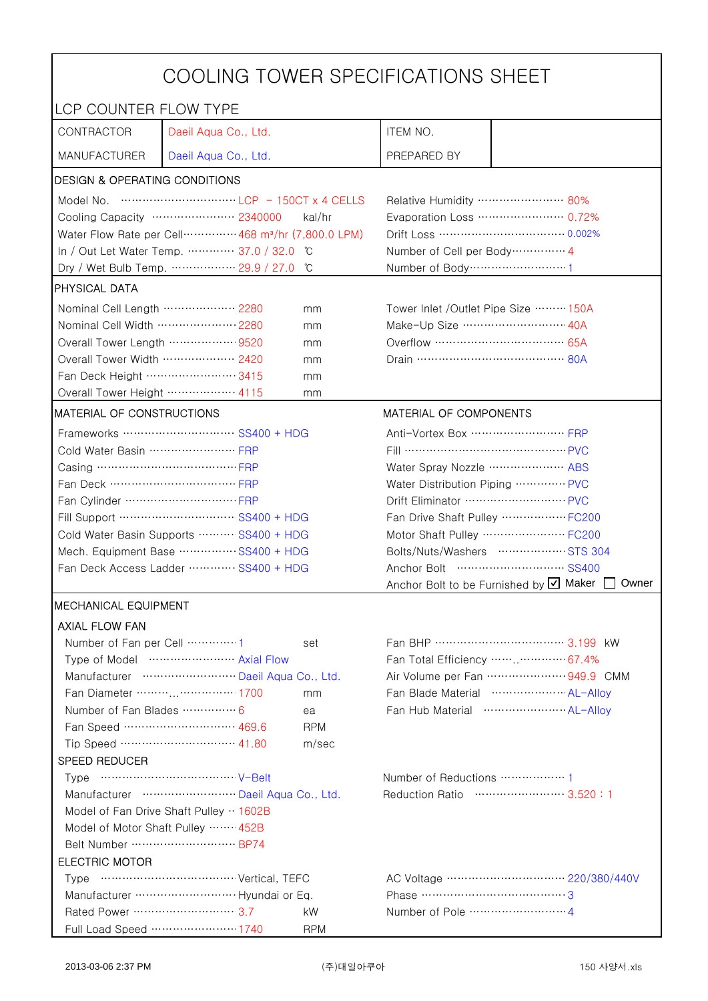| COOLING TOWER SPECIFICATIONS SHEET                                                                                                                                                                                                                                                                                                   |                                                      |  |  |
|--------------------------------------------------------------------------------------------------------------------------------------------------------------------------------------------------------------------------------------------------------------------------------------------------------------------------------------|------------------------------------------------------|--|--|
| LCP COUNTER FLOW TYPE                                                                                                                                                                                                                                                                                                                |                                                      |  |  |
| CONTRACTOR<br>Daeil Aqua Co., Ltd.                                                                                                                                                                                                                                                                                                   | ITEM NO.                                             |  |  |
| <b>MANUFACTURER</b><br>Daeil Aqua Co., Ltd.                                                                                                                                                                                                                                                                                          | PREPARED BY                                          |  |  |
| <b>DESIGN &amp; OPERATING CONDITIONS</b>                                                                                                                                                                                                                                                                                             |                                                      |  |  |
| Model No. $\cdots$ $\cdots$ $\cdots$ $\cdots$ $\cdots$ $\cdots$ $\cdots$ $\cdots$ $\cdots$ $\cdots$ $\cdots$ $\cdots$ $\cdots$ $\cdots$ $\cdots$ $\cdots$ $\cdots$ $\cdots$ $\cdots$ $\cdots$ $\cdots$ $\cdots$ $\cdots$ $\cdots$ $\cdots$ $\cdots$ $\cdots$ $\cdots$ $\cdots$ $\cdots$ $\cdots$ $\cdots$ $\cdots$ $\cdots$ $\cdots$ | Relative Humidity …………………… 80%                       |  |  |
| Cooling Capacity ………………… 2340000<br>kal/hr                                                                                                                                                                                                                                                                                           | Evaporation Loss …………………… 0.72%                      |  |  |
| Water Flow Rate per Cell ··············· 468 m <sup>3</sup> /hr (7,800.0 LPM)                                                                                                                                                                                                                                                        |                                                      |  |  |
| In / Out Let Water Temp.  37.0 / 32.0<br>C                                                                                                                                                                                                                                                                                           | Number of Cell per Body ··············· 4            |  |  |
| Dry / Wet Bulb Temp.  29.9 / 27.0<br>°C                                                                                                                                                                                                                                                                                              |                                                      |  |  |
| <b>PHYSICAL DATA</b>                                                                                                                                                                                                                                                                                                                 |                                                      |  |  |
| Nominal Cell Length  2280<br>mm                                                                                                                                                                                                                                                                                                      | Tower Inlet /Outlet Pipe Size ……… 150A               |  |  |
| Nominal Cell Width  2280<br>mm                                                                                                                                                                                                                                                                                                       | Make-Up Size ······························ 40A      |  |  |
| Overall Tower Length ……………… 9520<br>mm                                                                                                                                                                                                                                                                                               |                                                      |  |  |
| Overall Tower Width  2420<br>mm                                                                                                                                                                                                                                                                                                      |                                                      |  |  |
| Fan Deck Height …………………… 3415<br>mm                                                                                                                                                                                                                                                                                                  |                                                      |  |  |
| Overall Tower Height ……………… 4115<br>mm                                                                                                                                                                                                                                                                                               |                                                      |  |  |
| MATERIAL OF CONSTRUCTIONS                                                                                                                                                                                                                                                                                                            | MATERIAL OF COMPONENTS                               |  |  |
| Frameworks  SS400 + HDG                                                                                                                                                                                                                                                                                                              | Anti-Vortex Box …………………… FRP                         |  |  |
| Cold Water Basin  FRP                                                                                                                                                                                                                                                                                                                | Fill …………………………………… PVC                              |  |  |
| Casing …………………………………… FRP                                                                                                                                                                                                                                                                                                            | Water Spray Nozzle ………………… ABS                       |  |  |
| Fan Deck …………………………… FRP                                                                                                                                                                                                                                                                                                             | Water Distribution Piping  PVC                       |  |  |
|                                                                                                                                                                                                                                                                                                                                      |                                                      |  |  |
| Fill Support ………………………… SS400 + HDG                                                                                                                                                                                                                                                                                                  | Fan Drive Shaft Pulley  FC200                        |  |  |
| Cold Water Basin Supports  SS400 + HDG                                                                                                                                                                                                                                                                                               | Motor Shaft Pulley  FC200                            |  |  |
| Mech. Equipment Base  SS400 + HDG                                                                                                                                                                                                                                                                                                    | Bolts/Nuts/Washers  STS 304                          |  |  |
| Fan Deck Access Ladder ………… SS400 + HDG                                                                                                                                                                                                                                                                                              | Anchor Bolt to be Furnished by Ø Maker [<br>Owner    |  |  |
| <b>IMECHANICAL EQUIPMENT</b>                                                                                                                                                                                                                                                                                                         |                                                      |  |  |
| <b>AXIAL FLOW FAN</b>                                                                                                                                                                                                                                                                                                                |                                                      |  |  |
| Number of Fan per Cell  1<br>set                                                                                                                                                                                                                                                                                                     | Fan BHP ……………………………… 3.199 kW                        |  |  |
| Type of Model  Axial Flow                                                                                                                                                                                                                                                                                                            | Fan Total Efficiency …… 67.4%                        |  |  |
| Manufacturer  Daeil Aqua Co., Ltd.                                                                                                                                                                                                                                                                                                   | Air Volume per Fan  949.9 CMM                        |  |  |
| Fan Diameter ……… …………… 1700<br>mm                                                                                                                                                                                                                                                                                                    | Fan Blade Material ······················ AL-Allov   |  |  |
| Number of Fan Blades  6<br>ea                                                                                                                                                                                                                                                                                                        | Fan Hub Material ·························· AL-Allov |  |  |
| Fan Speed ………………………… 469.6<br><b>RPM</b>                                                                                                                                                                                                                                                                                             |                                                      |  |  |
| Tip Speed ………………………… 41.80<br>m/sec                                                                                                                                                                                                                                                                                                  |                                                      |  |  |
| <b>SPEED REDUCER</b>                                                                                                                                                                                                                                                                                                                 |                                                      |  |  |
|                                                                                                                                                                                                                                                                                                                                      | Number of Reductions  1                              |  |  |
| Manufacturer  Daeil Aqua Co., Ltd.                                                                                                                                                                                                                                                                                                   | Reduction Ratio …………………… 3.520:1                     |  |  |
| Model of Fan Drive Shaft Pulley  1602B                                                                                                                                                                                                                                                                                               |                                                      |  |  |
| Model of Motor Shaft Pulley  452B                                                                                                                                                                                                                                                                                                    |                                                      |  |  |
| Belt Number  BP74                                                                                                                                                                                                                                                                                                                    |                                                      |  |  |
| <b>ELECTRIC MOTOR</b>                                                                                                                                                                                                                                                                                                                |                                                      |  |  |
|                                                                                                                                                                                                                                                                                                                                      |                                                      |  |  |
| Rated Power …………………………3.7                                                                                                                                                                                                                                                                                                            |                                                      |  |  |
| kW<br>Full Load Speed ………………… 1740<br><b>RPM</b>                                                                                                                                                                                                                                                                                     |                                                      |  |  |